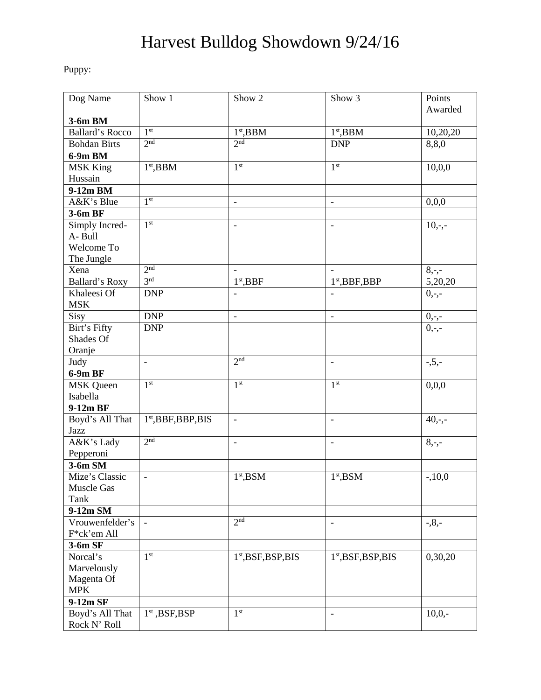## Harvest Bulldog Showdown 9/24/16

Puppy:

| Dog Name               | Show 1                | Show 2                          | Show 3                       | Points    |
|------------------------|-----------------------|---------------------------------|------------------------------|-----------|
|                        |                       |                                 |                              | Awarded   |
| 3-6m BM                |                       |                                 |                              |           |
| <b>Ballard's Rocco</b> | 1 <sup>st</sup>       | $1st$ , BBM                     | $1st$ , BBM                  | 10,20,20  |
| <b>Bohdan Birts</b>    | 2 <sup>nd</sup>       | 2 <sub>nd</sub>                 | <b>DNP</b>                   | 8,8,0     |
| 6-9m BM                |                       |                                 |                              |           |
| <b>MSK King</b>        | $1st$ , BBM           | 1 <sup>st</sup>                 | 1 <sup>st</sup>              | 10,0,0    |
| Hussain                |                       |                                 |                              |           |
| 9-12m BM               |                       |                                 |                              |           |
| A&K's Blue             | 1 <sup>st</sup>       | $\overline{\phantom{a}}$        | $\overline{\phantom{a}}$     | 0,0,0     |
| 3-6m BF                |                       |                                 |                              |           |
| Simply Incred-         | 1 <sup>st</sup>       | $\overline{\phantom{a}}$        | $\blacksquare$               | $10,-,-$  |
| A-Bull                 |                       |                                 |                              |           |
| Welcome To             |                       |                                 |                              |           |
| The Jungle             |                       |                                 |                              |           |
| Xena                   | 2 <sup>nd</sup>       |                                 |                              | $8, -,-$  |
| Ballard's Roxy         | 3 <sup>rd</sup>       | $1st$ , BBF                     | $1st$ , BBF, BBP             | 5,20,20   |
| Khaleesi Of            | <b>DNP</b>            | $\overline{a}$                  | $\overline{\phantom{a}}$     | $0, -,-$  |
| <b>MSK</b>             |                       |                                 |                              |           |
| $\overline{Sisy}$      | <b>DNP</b>            | $\overline{\phantom{a}}$        | $\blacksquare$               | $0,-,-$   |
| Birt's Fifty           | <b>DNP</b>            |                                 |                              | $0,-,-$   |
| Shades Of              |                       |                                 |                              |           |
| Oranje                 |                       |                                 |                              |           |
| Judy                   | $\blacksquare$        | 2 <sup>nd</sup>                 | $\qquad \qquad -$            | $-5, -$   |
| 6-9m BF                |                       |                                 |                              |           |
| MSK Queen              | 1 <sup>st</sup>       | 1 <sup>st</sup>                 | 1 <sup>st</sup>              | 0,0,0     |
| Isabella               |                       |                                 |                              |           |
| 9-12m BF               |                       |                                 |                              |           |
| Boyd's All That        | $1st$ , BBF, BBP, BIS | $\overline{\phantom{a}}$        | $\overline{\phantom{a}}$     | $40, -,-$ |
| Jazz                   |                       |                                 |                              |           |
| A&K's Lady             | 2 <sup>nd</sup>       | $\overline{a}$                  | $\overline{\phantom{a}}$     | $8, -,-$  |
| Pepperoni              |                       |                                 |                              |           |
| $3-6m$ SM              |                       |                                 |                              |           |
| Mize's Classic         | $\overline{a}$        | $1st$ , BSM                     | 1 <sup>st</sup> , <b>BSM</b> | $-10,0$   |
| Muscle Gas             |                       |                                 |                              |           |
| Tank                   |                       |                                 |                              |           |
| 9-12m SM               |                       |                                 |                              |           |
| Vrouwenfelder's        | $\equiv$              | 2 <sup>nd</sup>                 | $\blacksquare$               | $-0.8,-$  |
| F*ck'em All            |                       |                                 |                              |           |
| 3-6m SF                |                       |                                 |                              |           |
| Norcal's               | 1 <sup>st</sup>       | 1 <sup>st</sup> , BSF, BSP, BIS | $1st$ , BSF, BSP, BIS        | 0,30,20   |
| Marvelously            |                       |                                 |                              |           |
| Magenta Of             |                       |                                 |                              |           |
| <b>MPK</b>             |                       |                                 |                              |           |
| 9-12m SF               |                       |                                 |                              |           |
| Boyd's All That        | $1st$ , BSF, BSP      | 1 <sup>st</sup>                 | $\overline{\phantom{a}}$     | $10,0,-$  |
| Rock N' Roll           |                       |                                 |                              |           |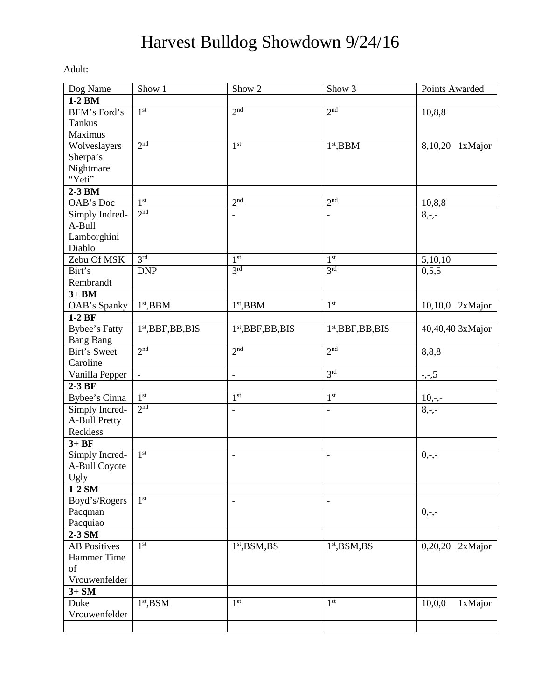## Harvest Bulldog Showdown 9/24/16

Adult:

| Dog Name             | Show 1                         | Show 2                       | Show 3                   | Points Awarded    |
|----------------------|--------------------------------|------------------------------|--------------------------|-------------------|
| 1-2 BM               |                                |                              |                          |                   |
| BFM's Ford's         | 1 <sup>st</sup>                | 2 <sup>nd</sup>              | 2 <sup>nd</sup>          | 10,8,8            |
| <b>Tankus</b>        |                                |                              |                          |                   |
| Maximus              |                                |                              |                          |                   |
| Wolveslayers         | 2 <sub>nd</sub>                | 1 <sup>st</sup>              | $1st$ , BBM              | 8,10,20 1xMajor   |
| Sherpa's             |                                |                              |                          |                   |
| Nightmare            |                                |                              |                          |                   |
| "Yeti"               |                                |                              |                          |                   |
| 2-3 BM               |                                |                              |                          |                   |
| OAB's Doc            | 1 <sup>st</sup>                | 2 <sup>nd</sup>              | 2 <sup>nd</sup>          | 10,8,8            |
| Simply Indred-       | 2 <sub>nd</sub>                |                              | $\overline{\phantom{0}}$ | $8, -,-$          |
| A-Bull               |                                |                              |                          |                   |
| Lamborghini          |                                |                              |                          |                   |
| Diablo               |                                |                              |                          |                   |
| Zebu Of MSK          | 3 <sup>rd</sup>                | 1 <sup>st</sup>              | 1 <sup>st</sup>          | 5,10,10           |
| Birt's               | <b>DNP</b>                     | 3 <sup>rd</sup>              | 3 <sup>rd</sup>          | 0,5,5             |
| Rembrandt            |                                |                              |                          |                   |
| $3+BM$               |                                |                              |                          |                   |
| OAB's Spanky         | $1st$ , BBM                    | $1st$ , BBM                  | 1 <sup>st</sup>          | $10,10,0$ 2xMajor |
| $1-2BF$              |                                |                              |                          |                   |
| Bybee's Fatty        | 1 <sup>st</sup> , BBF, BB, BIS | $1st$ , BBF, BB, BIS         | $1st$ , BBF, BB, BIS     | 40,40,40 3xMajor  |
| <b>Bang Bang</b>     |                                |                              |                          |                   |
| Birt's Sweet         | 2 <sup>nd</sup>                | 2 <sup>nd</sup>              | 2 <sup>nd</sup>          | 8,8,8             |
| Caroline             |                                |                              |                          |                   |
| Vanilla Pepper       | $\blacksquare$                 | $\overline{\phantom{0}}$     | 3 <sup>rd</sup>          | $-,-,5$           |
| $2-3BF$              |                                |                              |                          |                   |
| Bybee's Cinna        | 1 <sup>st</sup>                | 1 <sup>st</sup>              | $1^{\rm st}$             | $10,-,-$          |
| Simply Incred-       | 2 <sup>nd</sup>                | $\frac{1}{2}$                | $\overline{\phantom{0}}$ | $8, -,-$          |
| <b>A-Bull Pretty</b> |                                |                              |                          |                   |
| Reckless             |                                |                              |                          |                   |
| $3+BF$               |                                |                              |                          |                   |
| Simply Incred-       | 1 <sup>st</sup>                | $\overline{a}$               | $\overline{\phantom{a}}$ | $0,-,-$           |
| A-Bull Coyote        |                                |                              |                          |                   |
| Ugly                 |                                |                              |                          |                   |
| 1-2 SM               |                                |                              |                          |                   |
| Boyd's/Rogers        | 1 <sup>st</sup>                | $\qquad \qquad \blacksquare$ | $\qquad \qquad -$        |                   |
| Pacqman              |                                |                              |                          | $0,-,-$           |
| Pacquiao             |                                |                              |                          |                   |
| 2-3 SM               |                                |                              |                          |                   |
| <b>AB</b> Positives  | 1 <sup>st</sup>                | 1 <sup>st</sup> , BSM, BS    | $1st$ , BSM, BS          | 0,20,20 2xMajor   |
| Hammer Time          |                                |                              |                          |                   |
| of                   |                                |                              |                          |                   |
| Vrouwenfelder        |                                |                              |                          |                   |
| $3+SM$               |                                |                              |                          |                   |
| Duke                 | $1st$ , BSM                    | 1 <sup>st</sup>              | 1 <sup>st</sup>          | 1xMajor<br>10,0,0 |
| Vrouwenfelder        |                                |                              |                          |                   |
|                      |                                |                              |                          |                   |